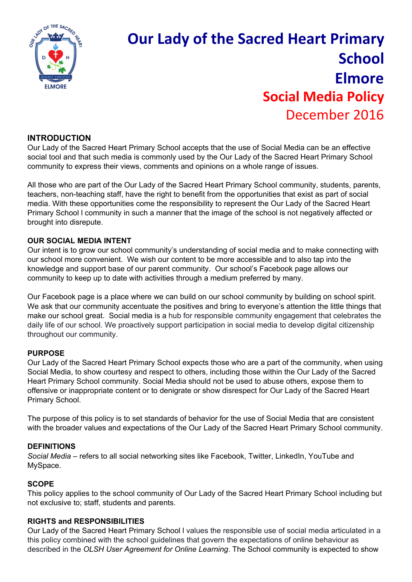

# **Our Lady of the Sacred Heart Primary School Elmore Social Media Policy** December 2016

# **INTRODUCTION**

Our Lady of the Sacred Heart Primary School accepts that the use of Social Media can be an effective social tool and that such media is commonly used by the Our Lady of the Sacred Heart Primary School community to express their views, comments and opinions on a whole range of issues.

All those who are part of the Our Lady of the Sacred Heart Primary School community, students, parents, teachers, non-teaching staff, have the right to benefit from the opportunities that exist as part of social media. With these opportunities come the responsibility to represent the Our Lady of the Sacred Heart Primary School l community in such a manner that the image of the school is not negatively affected or brought into disrepute.

### **OUR SOCIAL MEDIA INTENT**

Our intent is to grow our school community's understanding of social media and to make connecting with our school more convenient. We wish our content to be more accessible and to also tap into the knowledge and support base of our parent community. Our school's Facebook page allows our community to keep up to date with activities through a medium preferred by many.

Our Facebook page is a place where we can build on our school community by building on school spirit. We ask that our community accentuate the positives and bring to everyone's attention the little things that make our school great. Social media is a hub for responsible community engagement that celebrates the daily life of our school. We proactively support participation in social media to develop digital citizenship throughout our community.

#### **PURPOSE**

Our Lady of the Sacred Heart Primary School expects those who are a part of the community, when using Social Media, to show courtesy and respect to others, including those within the Our Lady of the Sacred Heart Primary School community. Social Media should not be used to abuse others, expose them to offensive or inappropriate content or to denigrate or show disrespect for Our Lady of the Sacred Heart Primary School.

The purpose of this policy is to set standards of behavior for the use of Social Media that are consistent with the broader values and expectations of the Our Lady of the Sacred Heart Primary School community.

#### **DEFINITIONS**

*Social Media* – refers to all social networking sites like Facebook, Twitter, LinkedIn, YouTube and MySpace.

#### **SCOPE**

This policy applies to the school community of Our Lady of the Sacred Heart Primary School including but not exclusive to; staff, students and parents.

#### **RIGHTS and RESPONSIBILITIES**

Our Lady of the Sacred Heart Primary School l values the responsible use of social media articulated in a this policy combined with the school guidelines that govern the expectations of online behaviour as described in the *OLSH User Agreement for Online Learning*. The School community is expected to show